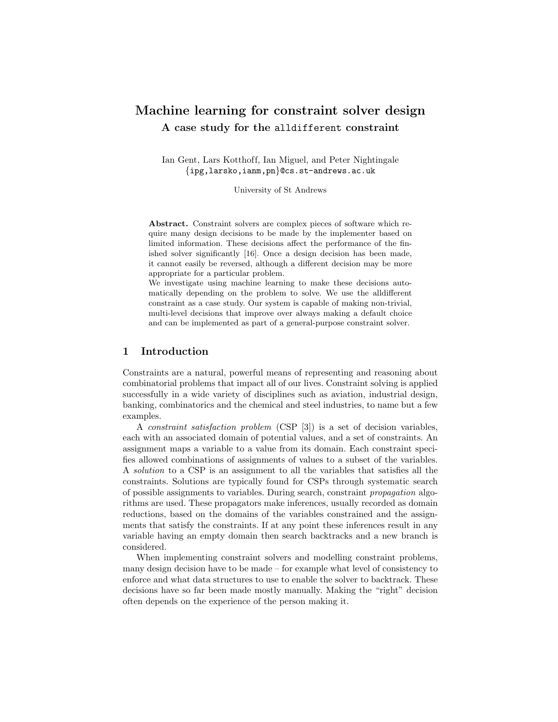# Machine learning for constraint solver design A case study for the alldifferent constraint

Ian Gent, Lars Kotthoff, Ian Miguel, and Peter Nightingale {ipg,larsko,ianm,pn}@cs.st-andrews.ac.uk

University of St Andrews

Abstract. Constraint solvers are complex pieces of software which require many design decisions to be made by the implementer based on limited information. These decisions affect the performance of the finished solver significantly [16]. Once a design decision has been made, it cannot easily be reversed, although a different decision may be more appropriate for a particular problem.

We investigate using machine learning to make these decisions automatically depending on the problem to solve. We use the alldifferent constraint as a case study. Our system is capable of making non-trivial, multi-level decisions that improve over always making a default choice and can be implemented as part of a general-purpose constraint solver.

## 1 Introduction

Constraints are a natural, powerful means of representing and reasoning about combinatorial problems that impact all of our lives. Constraint solving is applied successfully in a wide variety of disciplines such as aviation, industrial design, banking, combinatorics and the chemical and steel industries, to name but a few examples.

A constraint satisfaction problem (CSP [3]) is a set of decision variables, each with an associated domain of potential values, and a set of constraints. An assignment maps a variable to a value from its domain. Each constraint specifies allowed combinations of assignments of values to a subset of the variables. A solution to a CSP is an assignment to all the variables that satisfies all the constraints. Solutions are typically found for CSPs through systematic search of possible assignments to variables. During search, constraint propagation algorithms are used. These propagators make inferences, usually recorded as domain reductions, based on the domains of the variables constrained and the assignments that satisfy the constraints. If at any point these inferences result in any variable having an empty domain then search backtracks and a new branch is considered.

When implementing constraint solvers and modelling constraint problems, many design decision have to be made – for example what level of consistency to enforce and what data structures to use to enable the solver to backtrack. These decisions have so far been made mostly manually. Making the "right" decision often depends on the experience of the person making it.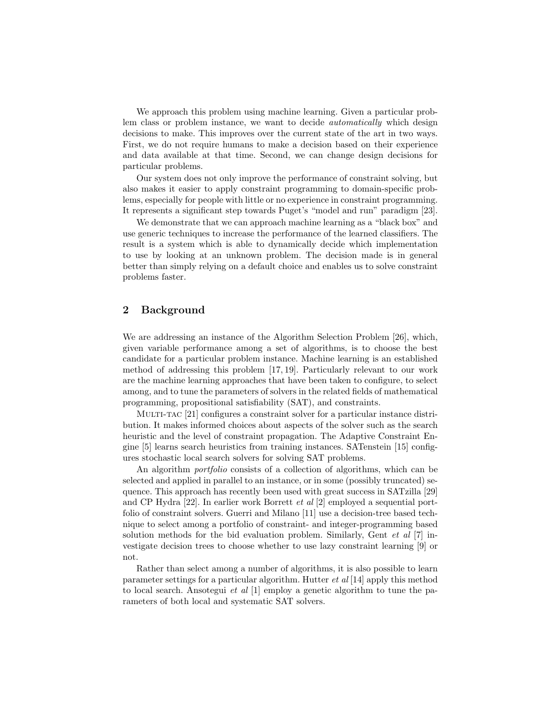We approach this problem using machine learning. Given a particular problem class or problem instance, we want to decide *automatically* which design decisions to make. This improves over the current state of the art in two ways. First, we do not require humans to make a decision based on their experience and data available at that time. Second, we can change design decisions for particular problems.

Our system does not only improve the performance of constraint solving, but also makes it easier to apply constraint programming to domain-specific problems, especially for people with little or no experience in constraint programming. It represents a significant step towards Puget's "model and run" paradigm [23].

We demonstrate that we can approach machine learning as a "black box" and use generic techniques to increase the performance of the learned classifiers. The result is a system which is able to dynamically decide which implementation to use by looking at an unknown problem. The decision made is in general better than simply relying on a default choice and enables us to solve constraint problems faster.

## 2 Background

We are addressing an instance of the Algorithm Selection Problem [26], which, given variable performance among a set of algorithms, is to choose the best candidate for a particular problem instance. Machine learning is an established method of addressing this problem [17, 19]. Particularly relevant to our work are the machine learning approaches that have been taken to configure, to select among, and to tune the parameters of solvers in the related fields of mathematical programming, propositional satisfiability (SAT), and constraints.

Multi-tac [21] configures a constraint solver for a particular instance distribution. It makes informed choices about aspects of the solver such as the search heuristic and the level of constraint propagation. The Adaptive Constraint Engine [5] learns search heuristics from training instances. SATenstein [15] configures stochastic local search solvers for solving SAT problems.

An algorithm portfolio consists of a collection of algorithms, which can be selected and applied in parallel to an instance, or in some (possibly truncated) sequence. This approach has recently been used with great success in SATzilla [29] and CP Hydra [22]. In earlier work Borrett et al [2] employed a sequential portfolio of constraint solvers. Guerri and Milano [11] use a decision-tree based technique to select among a portfolio of constraint- and integer-programming based solution methods for the bid evaluation problem. Similarly, Gent *et al* [7] investigate decision trees to choose whether to use lazy constraint learning [9] or not.

Rather than select among a number of algorithms, it is also possible to learn parameter settings for a particular algorithm. Hutter  $et \ al \ [14]$  apply this method to local search. Ansotegui et al [1] employ a genetic algorithm to tune the parameters of both local and systematic SAT solvers.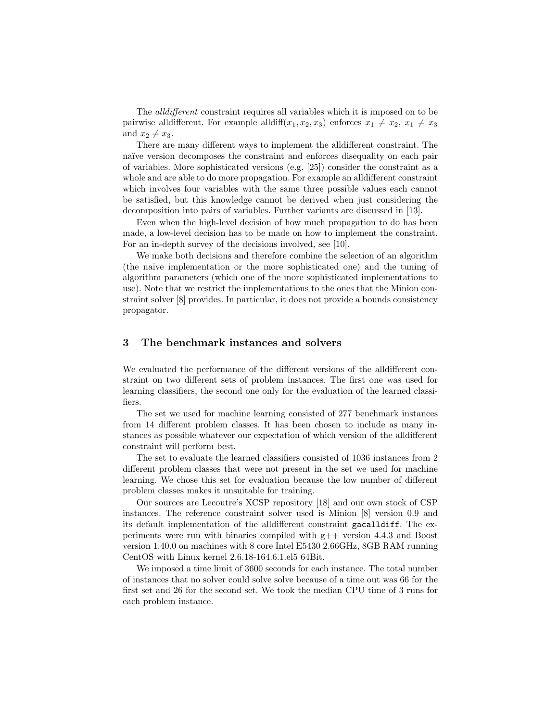The alldifferent constraint requires all variables which it is imposed on to be pairwise all ifferent. For example all diff( $x_1, x_2, x_3$ ) enforces  $x_1 \neq x_2, x_1 \neq x_3$ and  $x_2 \neq x_3$ .

There are many different ways to implement the alldifferent constraint. The naïve version decomposes the constraint and enforces disequality on each pair of variables. More sophisticated versions (e.g. [25]) consider the constraint as a whole and are able to do more propagation. For example an alldifferent constraint which involves four variables with the same three possible values each cannot be satisfied, but this knowledge cannot be derived when just considering the decomposition into pairs of variables. Further variants are discussed in [13].

Even when the high-level decision of how much propagation to do has been made, a low-level decision has to be made on how to implement the constraint. For an in-depth survey of the decisions involved, see [10].

We make both decisions and therefore combine the selection of an algorithm (the na¨ıve implementation or the more sophisticated one) and the tuning of algorithm parameters (which one of the more sophisticated implementations to use). Note that we restrict the implementations to the ones that the Minion constraint solver [8] provides. In particular, it does not provide a bounds consistency propagator.

## 3 The benchmark instances and solvers

We evaluated the performance of the different versions of the alldifferent constraint on two different sets of problem instances. The first one was used for learning classifiers, the second one only for the evaluation of the learned classifiers.

The set we used for machine learning consisted of 277 benchmark instances from 14 different problem classes. It has been chosen to include as many instances as possible whatever our expectation of which version of the alldifferent constraint will perform best.

The set to evaluate the learned classifiers consisted of 1036 instances from 2 different problem classes that were not present in the set we used for machine learning. We chose this set for evaluation because the low number of different problem classes makes it unsuitable for training.

Our sources are Lecoutre's XCSP repository [18] and our own stock of CSP instances. The reference constraint solver used is Minion [8] version 0.9 and its default implementation of the alldifferent constraint gacalldiff. The experiments were run with binaries compiled with g++ version 4.4.3 and Boost version 1.40.0 on machines with 8 core Intel E5430 2.66GHz, 8GB RAM running CentOS with Linux kernel 2.6.18-164.6.1.el5 64Bit.

We imposed a time limit of 3600 seconds for each instance. The total number of instances that no solver could solve solve because of a time out was 66 for the first set and 26 for the second set. We took the median CPU time of 3 runs for each problem instance.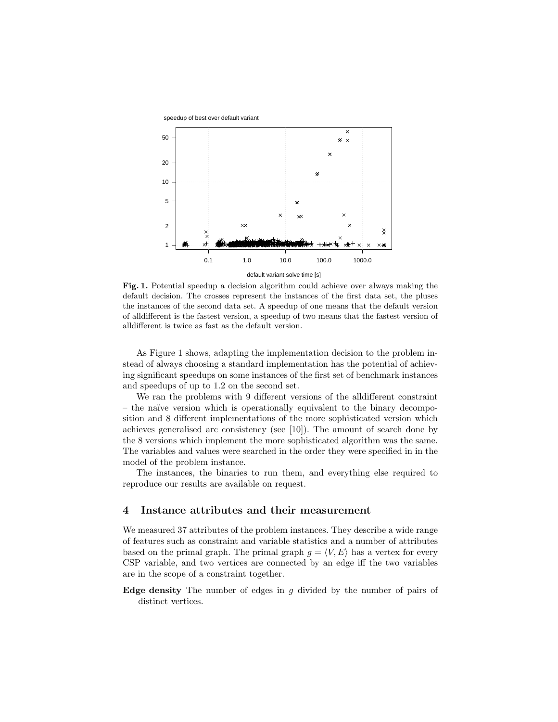

Fig. 1. Potential speedup a decision algorithm could achieve over always making the default decision. The crosses represent the instances of the first data set, the pluses the instances of the second data set. A speedup of one means that the default version of alldifferent is the fastest version, a speedup of two means that the fastest version of alldifferent is twice as fast as the default version.

As Figure 1 shows, adapting the implementation decision to the problem instead of always choosing a standard implementation has the potential of achieving significant speedups on some instances of the first set of benchmark instances and speedups of up to 1.2 on the second set.

We ran the problems with 9 different versions of the alldifferent constraint – the na¨ıve version which is operationally equivalent to the binary decomposition and 8 different implementations of the more sophisticated version which achieves generalised arc consistency (see [10]). The amount of search done by the 8 versions which implement the more sophisticated algorithm was the same. The variables and values were searched in the order they were specified in in the model of the problem instance.

The instances, the binaries to run them, and everything else required to reproduce our results are available on request.

#### 4 Instance attributes and their measurement

We measured 37 attributes of the problem instances. They describe a wide range of features such as constraint and variable statistics and a number of attributes based on the primal graph. The primal graph  $g = \langle V, E \rangle$  has a vertex for every CSP variable, and two vertices are connected by an edge iff the two variables are in the scope of a constraint together.

**Edge density** The number of edges in  $g$  divided by the number of pairs of distinct vertices.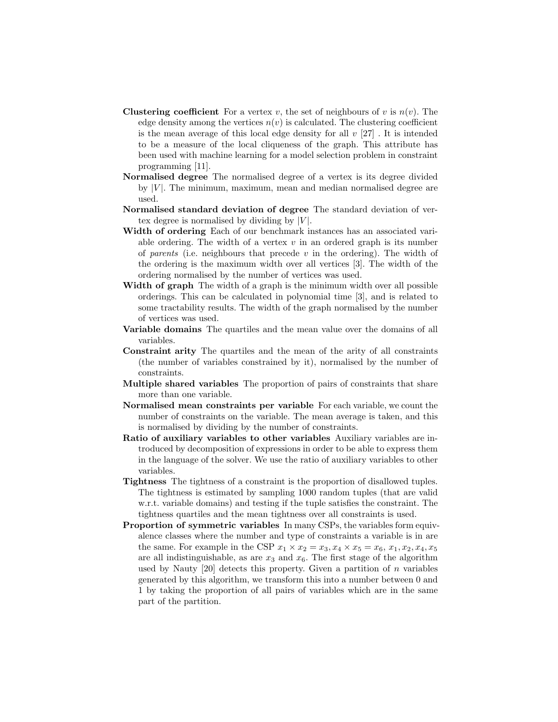- **Clustering coefficient** For a vertex v, the set of neighbours of v is  $n(v)$ . The edge density among the vertices  $n(v)$  is calculated. The clustering coefficient is the mean average of this local edge density for all  $v$  [27]. It is intended to be a measure of the local cliqueness of the graph. This attribute has been used with machine learning for a model selection problem in constraint programming [11].
- Normalised degree The normalised degree of a vertex is its degree divided by  $|V|$ . The minimum, maximum, mean and median normalised degree are used.
- Normalised standard deviation of degree The standard deviation of vertex degree is normalised by dividing by  $|V|$ .
- Width of ordering Each of our benchmark instances has an associated variable ordering. The width of a vertex  $v$  in an ordered graph is its number of parents (i.e. neighbours that precede  $v$  in the ordering). The width of the ordering is the maximum width over all vertices [3]. The width of the ordering normalised by the number of vertices was used.
- Width of graph The width of a graph is the minimum width over all possible orderings. This can be calculated in polynomial time [3], and is related to some tractability results. The width of the graph normalised by the number of vertices was used.
- Variable domains The quartiles and the mean value over the domains of all variables.
- Constraint arity The quartiles and the mean of the arity of all constraints (the number of variables constrained by it), normalised by the number of constraints.
- Multiple shared variables The proportion of pairs of constraints that share more than one variable.
- Normalised mean constraints per variable For each variable, we count the number of constraints on the variable. The mean average is taken, and this is normalised by dividing by the number of constraints.
- Ratio of auxiliary variables to other variables Auxiliary variables are introduced by decomposition of expressions in order to be able to express them in the language of the solver. We use the ratio of auxiliary variables to other variables.
- Tightness The tightness of a constraint is the proportion of disallowed tuples. The tightness is estimated by sampling 1000 random tuples (that are valid w.r.t. variable domains) and testing if the tuple satisfies the constraint. The tightness quartiles and the mean tightness over all constraints is used.
- Proportion of symmetric variables In many CSPs, the variables form equivalence classes where the number and type of constraints a variable is in are the same. For example in the CSP  $x_1 \times x_2 = x_3, x_4 \times x_5 = x_6, x_1, x_2, x_4, x_5$ are all indistinguishable, as are  $x_3$  and  $x_6$ . The first stage of the algorithm used by Nauty  $[20]$  detects this property. Given a partition of n variables generated by this algorithm, we transform this into a number between 0 and 1 by taking the proportion of all pairs of variables which are in the same part of the partition.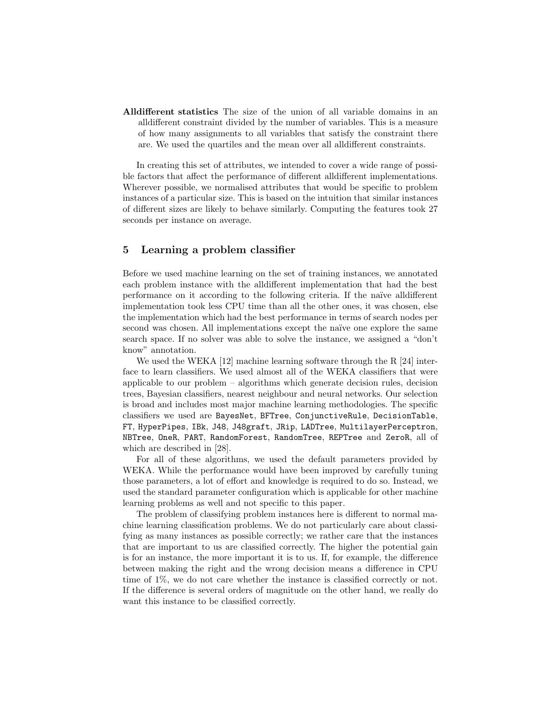Alldifferent statistics The size of the union of all variable domains in an alldifferent constraint divided by the number of variables. This is a measure of how many assignments to all variables that satisfy the constraint there are. We used the quartiles and the mean over all alldifferent constraints.

In creating this set of attributes, we intended to cover a wide range of possible factors that affect the performance of different alldifferent implementations. Wherever possible, we normalised attributes that would be specific to problem instances of a particular size. This is based on the intuition that similar instances of different sizes are likely to behave similarly. Computing the features took 27 seconds per instance on average.

## 5 Learning a problem classifier

Before we used machine learning on the set of training instances, we annotated each problem instance with the alldifferent implementation that had the best performance on it according to the following criteria. If the naïve all different implementation took less CPU time than all the other ones, it was chosen, else the implementation which had the best performance in terms of search nodes per second was chosen. All implementations except the naïve one explore the same search space. If no solver was able to solve the instance, we assigned a "don't know" annotation.

We used the WEKA  $[12]$  machine learning software through the R  $[24]$  interface to learn classifiers. We used almost all of the WEKA classifiers that were applicable to our problem – algorithms which generate decision rules, decision trees, Bayesian classifiers, nearest neighbour and neural networks. Our selection is broad and includes most major machine learning methodologies. The specific classifiers we used are BayesNet, BFTree, ConjunctiveRule, DecisionTable, FT, HyperPipes, IBk, J48, J48graft, JRip, LADTree, MultilayerPerceptron, NBTree, OneR, PART, RandomForest, RandomTree, REPTree and ZeroR, all of which are described in [28].

For all of these algorithms, we used the default parameters provided by WEKA. While the performance would have been improved by carefully tuning those parameters, a lot of effort and knowledge is required to do so. Instead, we used the standard parameter configuration which is applicable for other machine learning problems as well and not specific to this paper.

The problem of classifying problem instances here is different to normal machine learning classification problems. We do not particularly care about classifying as many instances as possible correctly; we rather care that the instances that are important to us are classified correctly. The higher the potential gain is for an instance, the more important it is to us. If, for example, the difference between making the right and the wrong decision means a difference in CPU time of 1%, we do not care whether the instance is classified correctly or not. If the difference is several orders of magnitude on the other hand, we really do want this instance to be classified correctly.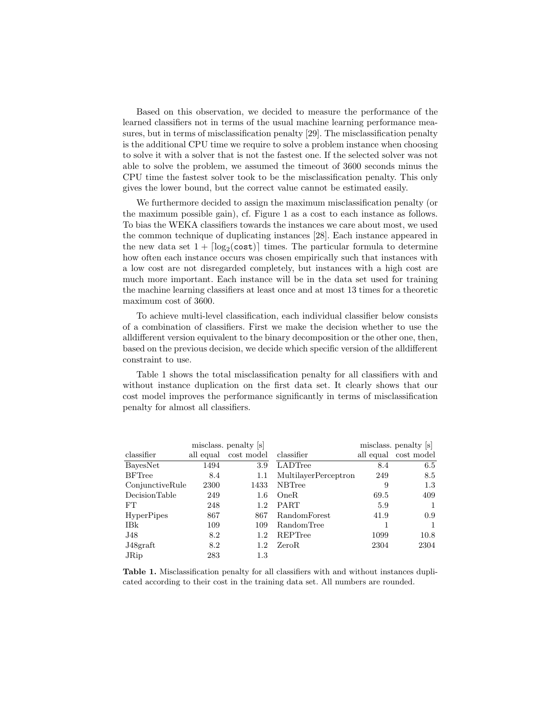Based on this observation, we decided to measure the performance of the learned classifiers not in terms of the usual machine learning performance measures, but in terms of misclassification penalty [29]. The misclassification penalty is the additional CPU time we require to solve a problem instance when choosing to solve it with a solver that is not the fastest one. If the selected solver was not able to solve the problem, we assumed the timeout of 3600 seconds minus the CPU time the fastest solver took to be the misclassification penalty. This only gives the lower bound, but the correct value cannot be estimated easily.

We furthermore decided to assign the maximum misclassification penalty (or the maximum possible gain), cf. Figure 1 as a cost to each instance as follows. To bias the WEKA classifiers towards the instances we care about most, we used the common technique of duplicating instances [28]. Each instance appeared in the new data set  $1 + \lceil \log_2(\text{cost}) \rceil$  times. The particular formula to determine how often each instance occurs was chosen empirically such that instances with a low cost are not disregarded completely, but instances with a high cost are much more important. Each instance will be in the data set used for training the machine learning classifiers at least once and at most 13 times for a theoretic maximum cost of 3600.

To achieve multi-level classification, each individual classifier below consists of a combination of classifiers. First we make the decision whether to use the alldifferent version equivalent to the binary decomposition or the other one, then, based on the previous decision, we decide which specific version of the alldifferent constraint to use.

Table 1 shows the total misclassification penalty for all classifiers with and without instance duplication on the first data set. It clearly shows that our cost model improves the performance significantly in terms of misclassification penalty for almost all classifiers.

|                   |      | misclass. penalty [s] |                             |      | misclass. penalty [s] |
|-------------------|------|-----------------------|-----------------------------|------|-----------------------|
| classifier        |      | all equal cost model  | classifier                  |      | all equal cost model  |
| BayesNet          | 1494 | 3.9                   | LADTree                     | 8.4  | 6.5                   |
| <b>BFTree</b>     | 8.4  | 1.1                   | <b>MultilayerPerceptron</b> | 249  | 8.5                   |
| ConjunctiveRule   | 2300 | 1433                  | <b>NBTree</b>               | 9    | 1.3                   |
| DecisionTable     | 249  | $1.6\,$               | OneR.                       | 69.5 | 409                   |
| FT                | 248  | 1.2                   | PART                        | 5.9  | 1                     |
| <b>HyperPipes</b> | 867  | 867                   | RandomForest                | 41.9 | 0.9                   |
| IBk               | 109  | 109                   | RandomTree                  |      | 1                     |
| J48               | 8.2  | 1.2                   | REPTree                     | 1099 | 10.8                  |
| J48graft          | 8.2  | 1.2                   | ZeroR.                      | 2304 | 2304                  |
| JRip              | 283  | 1.3                   |                             |      |                       |

Table 1. Misclassification penalty for all classifiers with and without instances duplicated according to their cost in the training data set. All numbers are rounded.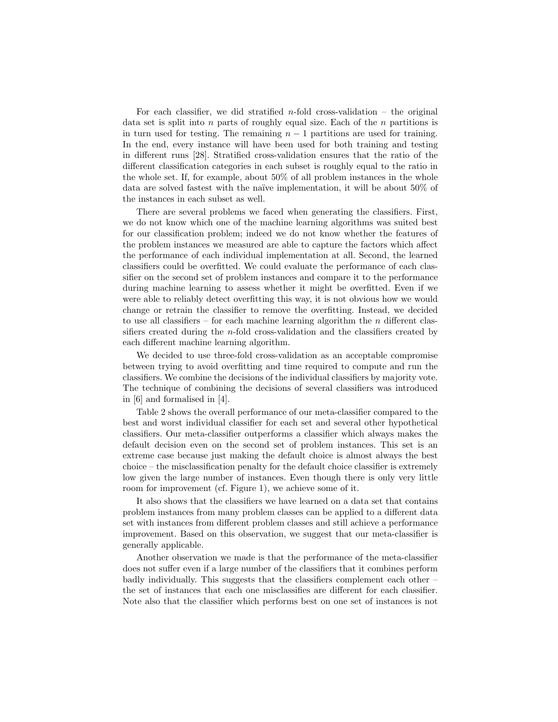For each classifier, we did stratified  $n$ -fold cross-validation – the original data set is split into n parts of roughly equal size. Each of the  $n$  partitions is in turn used for testing. The remaining  $n-1$  partitions are used for training. In the end, every instance will have been used for both training and testing in different runs [28]. Stratified cross-validation ensures that the ratio of the different classification categories in each subset is roughly equal to the ratio in the whole set. If, for example, about 50% of all problem instances in the whole data are solved fastest with the naïve implementation, it will be about  $50\%$  of the instances in each subset as well.

There are several problems we faced when generating the classifiers. First, we do not know which one of the machine learning algorithms was suited best for our classification problem; indeed we do not know whether the features of the problem instances we measured are able to capture the factors which affect the performance of each individual implementation at all. Second, the learned classifiers could be overfitted. We could evaluate the performance of each classifier on the second set of problem instances and compare it to the performance during machine learning to assess whether it might be overfitted. Even if we were able to reliably detect overfitting this way, it is not obvious how we would change or retrain the classifier to remove the overfitting. Instead, we decided to use all classifiers – for each machine learning algorithm the  $n$  different classifiers created during the n-fold cross-validation and the classifiers created by each different machine learning algorithm.

We decided to use three-fold cross-validation as an acceptable compromise between trying to avoid overfitting and time required to compute and run the classifiers. We combine the decisions of the individual classifiers by majority vote. The technique of combining the decisions of several classifiers was introduced in [6] and formalised in [4].

Table 2 shows the overall performance of our meta-classifier compared to the best and worst individual classifier for each set and several other hypothetical classifiers. Our meta-classifier outperforms a classifier which always makes the default decision even on the second set of problem instances. This set is an extreme case because just making the default choice is almost always the best choice – the misclassification penalty for the default choice classifier is extremely low given the large number of instances. Even though there is only very little room for improvement (cf. Figure 1), we achieve some of it.

It also shows that the classifiers we have learned on a data set that contains problem instances from many problem classes can be applied to a different data set with instances from different problem classes and still achieve a performance improvement. Based on this observation, we suggest that our meta-classifier is generally applicable.

Another observation we made is that the performance of the meta-classifier does not suffer even if a large number of the classifiers that it combines perform badly individually. This suggests that the classifiers complement each other – the set of instances that each one misclassifies are different for each classifier. Note also that the classifier which performs best on one set of instances is not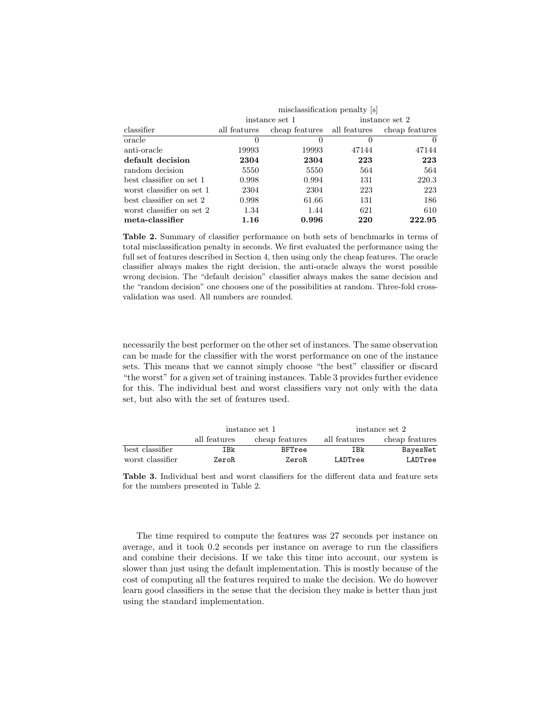|                           | misclassification penalty [s] |                             |                |                |  |
|---------------------------|-------------------------------|-----------------------------|----------------|----------------|--|
|                           | instance set 1                |                             | instance set 2 |                |  |
| classifier                | all features                  | cheap features all features |                | cheap features |  |
| oracle                    | $\theta$                      | $\theta$                    | $\theta$       | $\theta$       |  |
| anti-oracle               | 19993                         | 19993                       | 47144          | 47144          |  |
| default decision          | 2304                          | 2304                        | 223            | 223            |  |
| random decision           | 5550                          | 5550                        | 564            | 564            |  |
| best classifier on set 1  | 0.998                         | 0.994                       | 131            | 220.3          |  |
| worst classifier on set 1 | 2304                          | 2304                        | 223            | 223            |  |
| best classifier on set 2  | 0.998                         | 61.66                       | 131            | 186            |  |
| worst classifier on set 2 | 1.34                          | 1.44                        | 621            | 610            |  |
| meta-classifier           | 1.16                          | 0.996                       | 220            | 222.95         |  |

Table 2. Summary of classifier performance on both sets of benchmarks in terms of total misclassification penalty in seconds. We first evaluated the performance using the full set of features described in Section 4, then using only the cheap features. The oracle classifier always makes the right decision, the anti-oracle always the worst possible wrong decision. The "default decision" classifier always makes the same decision and the "random decision" one chooses one of the possibilities at random. Three-fold crossvalidation was used. All numbers are rounded.

necessarily the best performer on the other set of instances. The same observation can be made for the classifier with the worst performance on one of the instance sets. This means that we cannot simply choose "the best" classifier or discard "the worst" for a given set of training instances. Table 3 provides further evidence for this. The individual best and worst classifiers vary not only with the data set, but also with the set of features used.

|                  |              | instance set 1 | instance set 2 |                |  |
|------------------|--------------|----------------|----------------|----------------|--|
|                  | all features | cheap features | all features   | cheap features |  |
| best classifier  | IBk          | BFTree         | IBk            | BayesNet       |  |
| worst classifier | ZeroR        | ZeroR          | LADTree        | LADTree        |  |

Table 3. Individual best and worst classifiers for the different data and feature sets for the numbers presented in Table 2.

The time required to compute the features was 27 seconds per instance on average, and it took 0.2 seconds per instance on average to run the classifiers and combine their decisions. If we take this time into account, our system is slower than just using the default implementation. This is mostly because of the cost of computing all the features required to make the decision. We do however learn good classifiers in the sense that the decision they make is better than just using the standard implementation.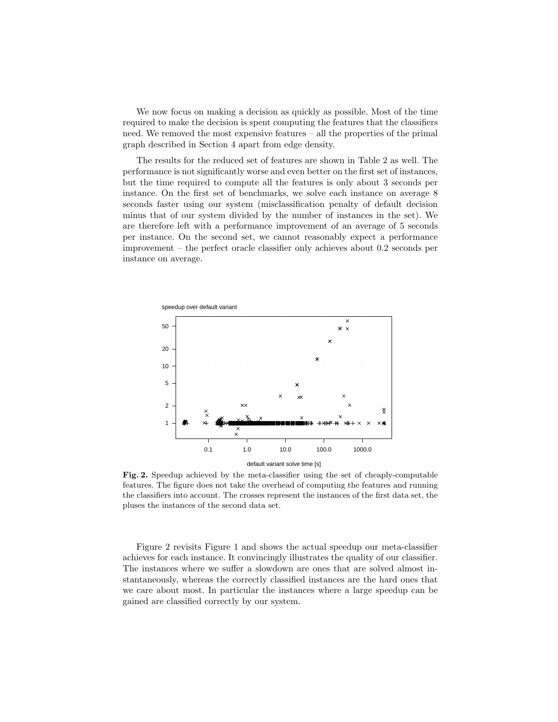We now focus on making a decision as quickly as possible. Most of the time required to make the decision is spent computing the features that the classifiers need. We removed the most expensive features – all the properties of the primal graph described in Section 4 apart from edge density.

The results for the reduced set of features are shown in Table 2 as well. The performance is not significantly worse and even better on the first set of instances, but the time required to compute all the features is only about 3 seconds per instance. On the first set of benchmarks, we solve each instance on average 8 seconds faster using our system (misclassification penalty of default decision minus that of our system divided by the number of instances in the set). We are therefore left with a performance improvement of an average of 5 seconds per instance. On the second set, we cannot reasonably expect a performance improvement – the perfect oracle classifier only achieves about 0.2 seconds per instance on average.



Fig. 2. Speedup achieved by the meta-classifier using the set of cheaply-computable features. The figure does not take the overhead of computing the features and running the classifiers into account. The crosses represent the instances of the first data set, the pluses the instances of the second data set.

Figure 2 revisits Figure 1 and shows the actual speedup our meta-classifier achieves for each instance. It convincingly illustrates the quality of our classifier. The instances where we suffer a slowdown are ones that are solved almost instantaneously, whereas the correctly classified instances are the hard ones that we care about most. In particular the instances where a large speedup can be gained are classified correctly by our system.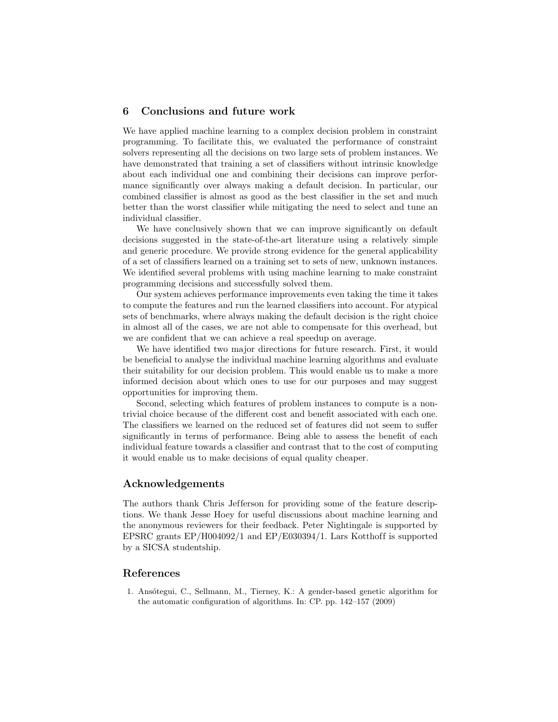## 6 Conclusions and future work

We have applied machine learning to a complex decision problem in constraint programming. To facilitate this, we evaluated the performance of constraint solvers representing all the decisions on two large sets of problem instances. We have demonstrated that training a set of classifiers without intrinsic knowledge about each individual one and combining their decisions can improve performance significantly over always making a default decision. In particular, our combined classifier is almost as good as the best classifier in the set and much better than the worst classifier while mitigating the need to select and tune an individual classifier.

We have conclusively shown that we can improve significantly on default decisions suggested in the state-of-the-art literature using a relatively simple and generic procedure. We provide strong evidence for the general applicability of a set of classifiers learned on a training set to sets of new, unknown instances. We identified several problems with using machine learning to make constraint programming decisions and successfully solved them.

Our system achieves performance improvements even taking the time it takes to compute the features and run the learned classifiers into account. For atypical sets of benchmarks, where always making the default decision is the right choice in almost all of the cases, we are not able to compensate for this overhead, but we are confident that we can achieve a real speedup on average.

We have identified two major directions for future research. First, it would be beneficial to analyse the individual machine learning algorithms and evaluate their suitability for our decision problem. This would enable us to make a more informed decision about which ones to use for our purposes and may suggest opportunities for improving them.

Second, selecting which features of problem instances to compute is a nontrivial choice because of the different cost and benefit associated with each one. The classifiers we learned on the reduced set of features did not seem to suffer significantly in terms of performance. Being able to assess the benefit of each individual feature towards a classifier and contrast that to the cost of computing it would enable us to make decisions of equal quality cheaper.

## Acknowledgements

The authors thank Chris Jefferson for providing some of the feature descriptions. We thank Jesse Hoey for useful discussions about machine learning and the anonymous reviewers for their feedback. Peter Nightingale is supported by EPSRC grants  $EP/H004092/1$  and  $EP/E030394/1$ . Lars Kotthoff is supported by a SICSA studentship.

## References

1. Ansótegui, C., Sellmann, M., Tierney, K.: A gender-based genetic algorithm for the automatic configuration of algorithms. In: CP. pp. 142–157 (2009)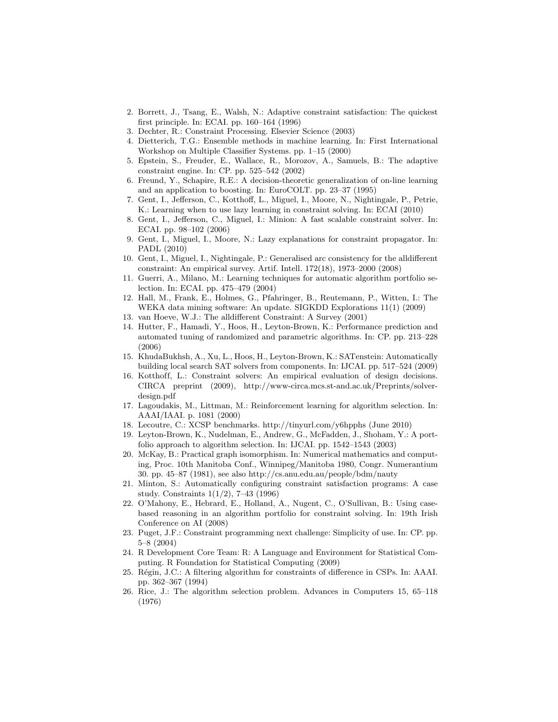- 2. Borrett, J., Tsang, E., Walsh, N.: Adaptive constraint satisfaction: The quickest first principle. In: ECAI. pp. 160–164 (1996)
- 3. Dechter, R.: Constraint Processing. Elsevier Science (2003)
- 4. Dietterich, T.G.: Ensemble methods in machine learning. In: First International Workshop on Multiple Classifier Systems. pp. 1–15 (2000)
- 5. Epstein, S., Freuder, E., Wallace, R., Morozov, A., Samuels, B.: The adaptive constraint engine. In: CP. pp. 525–542 (2002)
- 6. Freund, Y., Schapire, R.E.: A decision-theoretic generalization of on-line learning and an application to boosting. In: EuroCOLT. pp. 23–37 (1995)
- 7. Gent, I., Jefferson, C., Kotthoff, L., Miguel, I., Moore, N., Nightingale, P., Petrie, K.: Learning when to use lazy learning in constraint solving. In: ECAI (2010)
- 8. Gent, I., Jefferson, C., Miguel, I.: Minion: A fast scalable constraint solver. In: ECAI. pp. 98–102 (2006)
- 9. Gent, I., Miguel, I., Moore, N.: Lazy explanations for constraint propagator. In: PADL (2010)
- 10. Gent, I., Miguel, I., Nightingale, P.: Generalised arc consistency for the alldifferent constraint: An empirical survey. Artif. Intell. 172(18), 1973–2000 (2008)
- 11. Guerri, A., Milano, M.: Learning techniques for automatic algorithm portfolio selection. In: ECAI. pp. 475–479 (2004)
- 12. Hall, M., Frank, E., Holmes, G., Pfahringer, B., Reutemann, P., Witten, I.: The WEKA data mining software: An update. SIGKDD Explorations 11(1) (2009)
- 13. van Hoeve, W.J.: The alldifferent Constraint: A Survey (2001)
- 14. Hutter, F., Hamadi, Y., Hoos, H., Leyton-Brown, K.: Performance prediction and automated tuning of randomized and parametric algorithms. In: CP. pp. 213–228 (2006)
- 15. KhudaBukhsh, A., Xu, L., Hoos, H., Leyton-Brown, K.: SATenstein: Automatically building local search SAT solvers from components. In: IJCAI. pp. 517–524 (2009)
- 16. Kotthoff, L.: Constraint solvers: An empirical evaluation of design decisions. CIRCA preprint (2009), http://www-circa.mcs.st-and.ac.uk/Preprints/solverdesign.pdf
- 17. Lagoudakis, M., Littman, M.: Reinforcement learning for algorithm selection. In: AAAI/IAAI. p. 1081 (2000)
- 18. Lecoutre, C.: XCSP benchmarks. http://tinyurl.com/y6hpphs (June 2010)
- 19. Leyton-Brown, K., Nudelman, E., Andrew, G., McFadden, J., Shoham, Y.: A portfolio approach to algorithm selection. In: IJCAI. pp. 1542–1543 (2003)
- 20. McKay, B.: Practical graph isomorphism. In: Numerical mathematics and computing, Proc. 10th Manitoba Conf., Winnipeg/Manitoba 1980, Congr. Numerantium 30. pp. 45–87 (1981), see also http://cs.anu.edu.au/people/bdm/nauty
- 21. Minton, S.: Automatically configuring constraint satisfaction programs: A case study. Constraints 1(1/2), 7–43 (1996)
- 22. O'Mahony, E., Hebrard, E., Holland, A., Nugent, C., O'Sullivan, B.: Using casebased reasoning in an algorithm portfolio for constraint solving. In: 19th Irish Conference on AI (2008)
- 23. Puget, J.F.: Constraint programming next challenge: Simplicity of use. In: CP. pp. 5–8 (2004)
- 24. R Development Core Team: R: A Language and Environment for Statistical Computing. R Foundation for Statistical Computing (2009)
- 25. Régin, J.C.: A filtering algorithm for constraints of difference in CSPs. In: AAAI. pp. 362–367 (1994)
- 26. Rice, J.: The algorithm selection problem. Advances in Computers 15, 65–118 (1976)